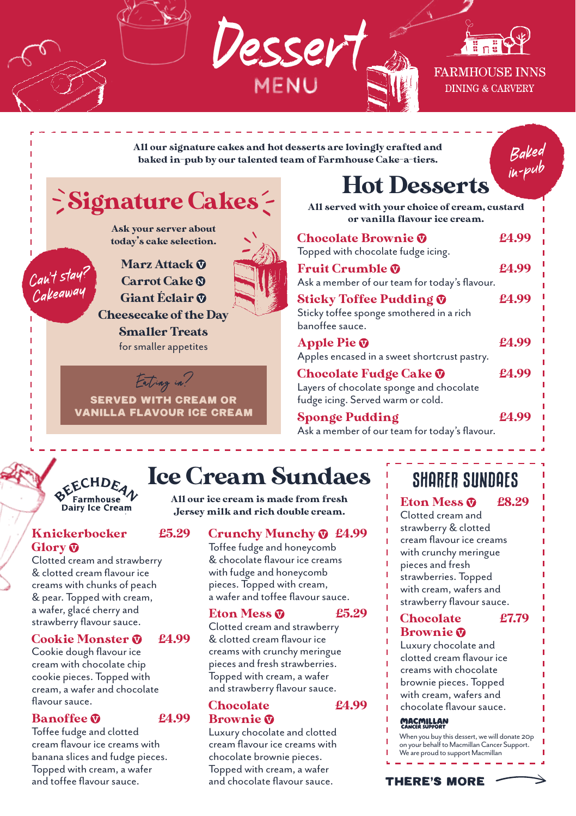

All our signature cakes and hot desserts are lovingly crafted and baked in-pub by our talented team of Farmhouse Cake-a-tiers.

Baked in-pu<sup>b</sup>

# Signature Cakes

Ask your server about today's cake selection.

Marz Attack @ Carrot Cake ® Giant Éclair ® Cheesecake of the Day Smaller Treats for smaller appetites

Eating in? SERVED WITH CREAM OR VANILLA FLAVOUR ICE CREAM

# Hot Desserts

All served with your choice of cream, custard or vanilla flavour ice cream.

| <b>Chocolate Brownie @</b><br>Topped with chocolate fudge icing.                                               | £4.99 |
|----------------------------------------------------------------------------------------------------------------|-------|
| <b>Fruit Crumble @</b><br>Ask a member of our team for today's flavour.                                        | £4.99 |
| <b>Sticky Toffee Pudding @</b><br>Sticky toffee sponge smothered in a rich<br>banoffee sauce.                  | £4.99 |
| Apple Pie $\mathbf{\Phi}$<br>Apples encased in a sweet shortcrust pastry.                                      | £4.99 |
| Chocolate Fudge Cake <b>V</b><br>Layers of chocolate sponge and chocolate<br>fudge icing. Served warm or cold. | £4.99 |
| Sponge Pudding                                                                                                 | £4.99 |

Ask a member of our team for today's flavour.

# クY Farmhouse ソ<br>Dairy Ice Cream

# Knickerbocker £5.29 Glory<sup>®</sup>

Can't stay? Cakeaway

Clotted cream and strawberry & clotted cream flavour ice creams with chunks of peach & pear. Topped with cream, a wafer, glacé cherry and strawberry flavour sauce.

# Cookie Monster  $\Phi$  £4.99

Cookie dough flavour ice cream with chocolate chip cookie pieces. Topped with cream, a wafer and chocolate flavour sauce.

# Banoffee **m** £4.99

Toffee fudge and clotted cream flavour ice creams with banana slices and fudge pieces. Topped with cream, a wafer and toffee flavour sauce.

# Ice Cream Sundaes

All our ice cream is made from fresh Jersey milk and rich double cream.

# Crunchy Munchy £4.99

Toffee fudge and honeycomb & chocolate flavour ice creams with fudge and honeycomb pieces. Topped with cream, a wafer and toffee flavour sauce.

# Eton Mess  $\odot$  £5.29

#### Clotted cream and strawberry & clotted cream flavour ice creams with crunchy meringue pieces and fresh strawberries. .<br>Topped with cream, a wafer and strawberry flavour sauce.

Chocolate £4.99 Brownie

Luxury chocolate and clotted cream flavour ice creams with chocolate brownie pieces. Topped with cream, a wafer and chocolate flavour sauce.

# SHARER SUNDAES

Eton Mess  $\Omega$  £8.29 Clotted cream and strawberry & clotted cream flavour ice creams with crunchy meringue pieces and fresh strawberries. Topped with cream, wafers and strawberry flavour sauce.

### Chocolate £7.79 Brownie

Luxury chocolate and clotted cream flavour ice creams with chocolate brownie pieces. Topped with cream, wafers and chocolate flavour sauce.

### **MACMILLAN**

When you buy this dessert, we will donate 20p on your behalf to Macmillan Cancer Support. We are proud to support Macmillan

## THERE's MORE